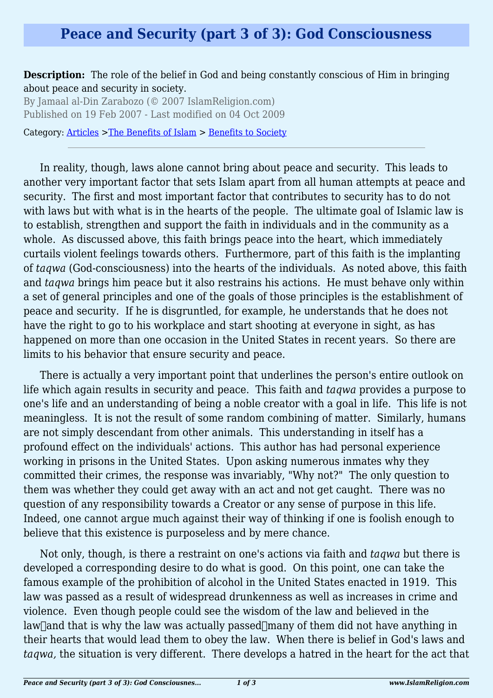## **Peace and Security (part 3 of 3): God Consciousness**

**Description:** The role of the belief in God and being constantly conscious of Him in bringing about peace and security in society.

By Jamaal al-Din Zarabozo (© 2007 IslamReligion.com) Published on 19 Feb 2007 - Last modified on 04 Oct 2009

Category: [Articles](http://www.islamreligion.com/articles/) >[The Benefits of Islam](http://www.islamreligion.com/category/43/) > [Benefits to Society](http://www.islamreligion.com/category/45/)

In reality, though, laws alone cannot bring about peace and security. This leads to another very important factor that sets Islam apart from all human attempts at peace and security. The first and most important factor that contributes to security has to do not with laws but with what is in the hearts of the people. The ultimate goal of Islamic law is to establish, strengthen and support the faith in individuals and in the community as a whole. As discussed above, this faith brings peace into the heart, which immediately curtails violent feelings towards others. Furthermore, part of this faith is the implanting of *taqwa* (God-consciousness) into the hearts of the individuals. As noted above, this faith and *taqwa* brings him peace but it also restrains his actions. He must behave only within a set of general principles and one of the goals of those principles is the establishment of peace and security. If he is disgruntled, for example, he understands that he does not have the right to go to his workplace and start shooting at everyone in sight, as has happened on more than one occasion in the United States in recent years. So there are limits to his behavior that ensure security and peace.

There is actually a very important point that underlines the person's entire outlook on life which again results in security and peace. This faith and *taqwa* provides a purpose to one's life and an understanding of being a noble creator with a goal in life. This life is not meaningless. It is not the result of some random combining of matter. Similarly, humans are not simply descendant from other animals. This understanding in itself has a profound effect on the individuals' actions. This author has had personal experience working in prisons in the United States. Upon asking numerous inmates why they committed their crimes, the response was invariably, "Why not?" The only question to them was whether they could get away with an act and not get caught. There was no question of any responsibility towards a Creator or any sense of purpose in this life. Indeed, one cannot argue much against their way of thinking if one is foolish enough to believe that this existence is purposeless and by mere chance.

Not only, though, is there a restraint on one's actions via faith and *taqwa* but there is developed a corresponding desire to do what is good. On this point, one can take the famous example of the prohibition of alcohol in the United States enacted in 1919. This law was passed as a result of widespread drunkenness as well as increases in crime and violence. Even though people could see the wisdom of the law and believed in the law  $\alpha$  and that is why the law was actually passed  $\alpha$  of them did not have anything in their hearts that would lead them to obey the law. When there is belief in God's laws and *taqwa,* the situation is very different. There develops a hatred in the heart for the act that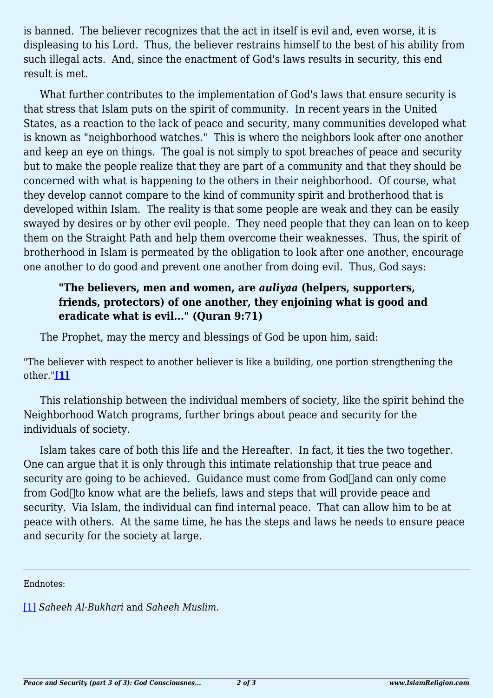is banned. The believer recognizes that the act in itself is evil and, even worse, it is displeasing to his Lord. Thus, the believer restrains himself to the best of his ability from such illegal acts. And, since the enactment of God's laws results in security, this end result is met.

What further contributes to the implementation of God's laws that ensure security is that stress that Islam puts on the spirit of community. In recent years in the United States, as a reaction to the lack of peace and security, many communities developed what is known as "neighborhood watches." This is where the neighbors look after one another and keep an eye on things. The goal is not simply to spot breaches of peace and security but to make the people realize that they are part of a community and that they should be concerned with what is happening to the others in their neighborhood. Of course, what they develop cannot compare to the kind of community spirit and brotherhood that is developed within Islam. The reality is that some people are weak and they can be easily swayed by desires or by other evil people. They need people that they can lean on to keep them on the Straight Path and help them overcome their weaknesses. Thus, the spirit of brotherhood in Islam is permeated by the obligation to look after one another, encourage one another to do good and prevent one another from doing evil. Thus, God says:

## **"The believers, men and women, are** *auliyaa* **(helpers, supporters, friends, protectors) of one another, they enjoining what is good and eradicate what is evil..." (Quran 9:71)**

The Prophet, may the mercy and blessings of God be upon him, said:

<span id="page-1-1"></span>"The believer with respect to another believer is like a building, one portion strengthening the other."**[\[1\]](#page-1-0)**

This relationship between the individual members of society, like the spirit behind the Neighborhood Watch programs, further brings about peace and security for the individuals of society.

Islam takes care of both this life and the Hereafter. In fact, it ties the two together. One can argue that it is only through this intimate relationship that true peace and security are going to be achieved. Guidance must come from  $God$ and can only come from  $God$  to know what are the beliefs, laws and steps that will provide peace and security. Via Islam, the individual can find internal peace. That can allow him to be at peace with others. At the same time, he has the steps and laws he needs to ensure peace and security for the society at large.

Endnotes:

<span id="page-1-0"></span>[\[1\]](#page-1-1) *Saheeh Al-Bukhari* and *Saheeh Muslim*.